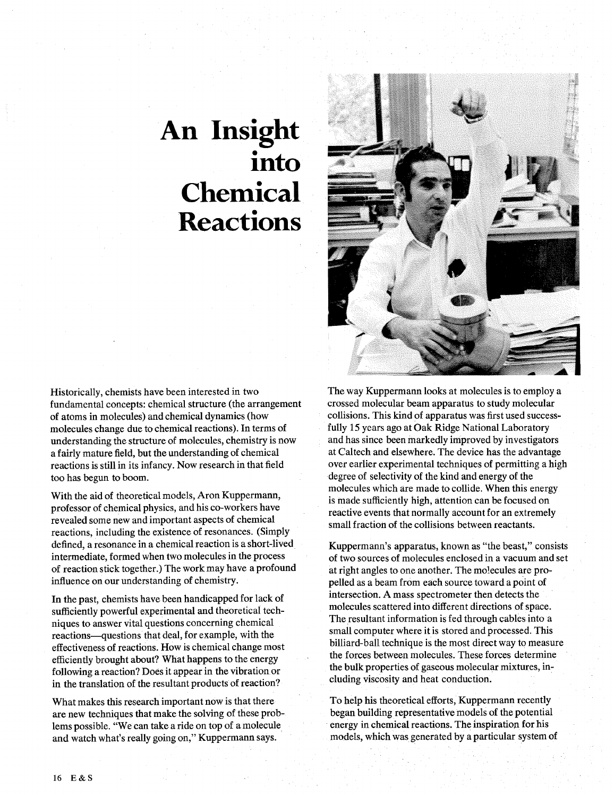## **An Insight into Chemical Reactions**



Historically, chemists have been interested in two fundamental concepts: chemical structure (the arrangement of atoms in molecules) and chemical dynamics (how molecules change due to chemical reactions). In terms of understanding the structure of molecules, chemistry is now a fairly mature field, but the understanding of chemical reactions is still in its infancy. Now research in that field too has begun to boom.

With the aid of theoretical models, Aron Kuppermann, professor of chemical physics, and his co-workers have revealed some new and important aspects of chemical reactions, including the existence of resonances. (Simply defined, a resonance in a chemical reaction is a short-lived intermediate, formed when two molecules in the process of reaction stick together.) The work may have a profound influence on our understanding of chemistry.

In the past, chemists have been handicapped for lack of sufficiently powerful experimental and theoretical techniques to answer vital questions concerning chemical reactions-questions that deal, for example, with the effectiveness of reactions. How is chemical change most efficiently brought about? What happens to the energy following a reaction? Does it appear in the vibration or in the translation of the resultant products of reaction?

What makes this research important now is that there are new techniques that make the solving of these problems possible. "We can take a ride on top of a molecule and watch what's really going on," Kuppermann says.

The way Kuppermann looks at molecules is to employ a crossed molecular beam apparatus to study molecular collisions. This kind of apparatus was first used successfully 15 years ago at Oak Ridge National Laboratory and has since been markedly improved by investigators at Caltech and elsewhere. The device has the advantage over earlier experimental techniques of permitting a high degree of selectivity of the kind and energy of the molecules which are made to collide. When this energy is made sufficiently high, attention can be focused on reactive events that normally account for an extremely small fraction of the collisions between reactants.

Kuppermann's apparatus, known as "the beast," consists of two sources of molecules enclosed in a vacuum and set at right angles to one another. The mo!ecules are propelled as a beam from each source toward a point of intersection. A mass spectrometer then detects the molecules scattered into different directions of space. The resultant information is fed through cables into a small computer where it is stored and processed. This billiard-ball technique is the most direct way to measure the forces between molecules. These forces determine the bulk properties of gaseous molecular mixtures, including viscosity and heat conduction.

To help his theoretical efforts, Kuppermann recently began building representative models of the potential energy in chemical reactions. The inspiration for his models, which was generated by a particular system of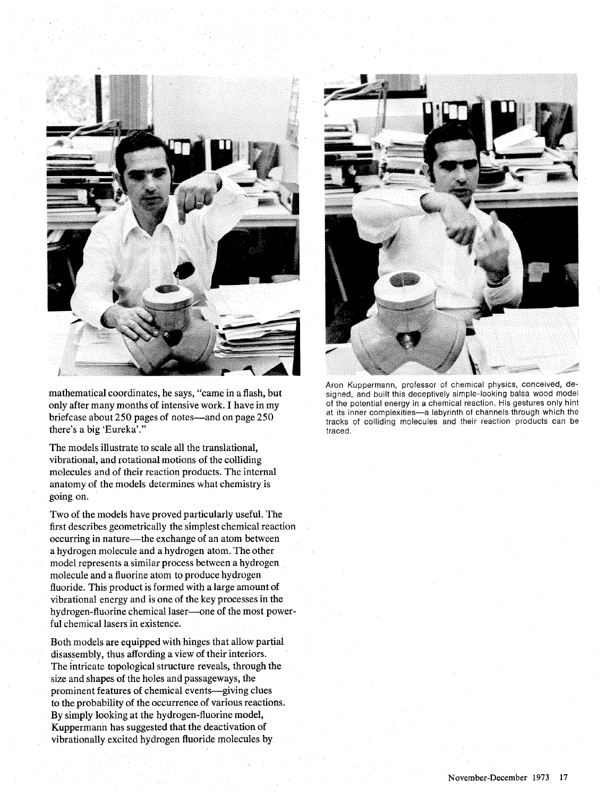

briefcase about 250 pages of notes-and on page 250 there's a big 'Eureka'."

The models illustrate to scale all the translational, vibrational, and rotational motions of the colliding molecules and of their reaction products. The internal anatomy of the models determines what chemistry is going on.

Two of the models have proved particularly useful. The first describes geometrically the simplest chemical reaction occurring in nature—the exchange of an atom between a hydrogen molecule and a hydrogen atom. The other model represents a similar process between a hydrogen molecule and a fluorine atom to produce hydrogen fluoride. This product is formed with a large amount of vibrational energy and is one of the key processes in the hydrogen-fluorine chemical laser—one of the most powerful chemical lasers in existence.

Both models are equipped with hinges that allow partial disassembly, thus affording a view of their interiors. The intricate topological structure reveals, through the size and shapes of the holes and passageways, the prominent features of chemical events-giving clues to the probability of the occurrence of various reactions. By simply looking at the hydrogen-fluorine model, Kuppermann has suggested that the deactivation of vibrationally excited hydrogen fluoride molecules by

![](_page_1_Picture_5.jpeg)

Aron Kuppermann, professor of chemlcal physics, conceived, demathematical coordinates, he says, "came in a flash, but signed, and built this deceptively simple-looking balsa wood model<br>only after many months of intensive work. I have in my of the potential energy in a chemical react only after many months of intensive work. I have in my of the potential energy in a chemical reaction. His gestures only hint<br>at its inner complexities—a labyrinth of channels through which the tracks of colliding molecules and their reaction products can be traced.